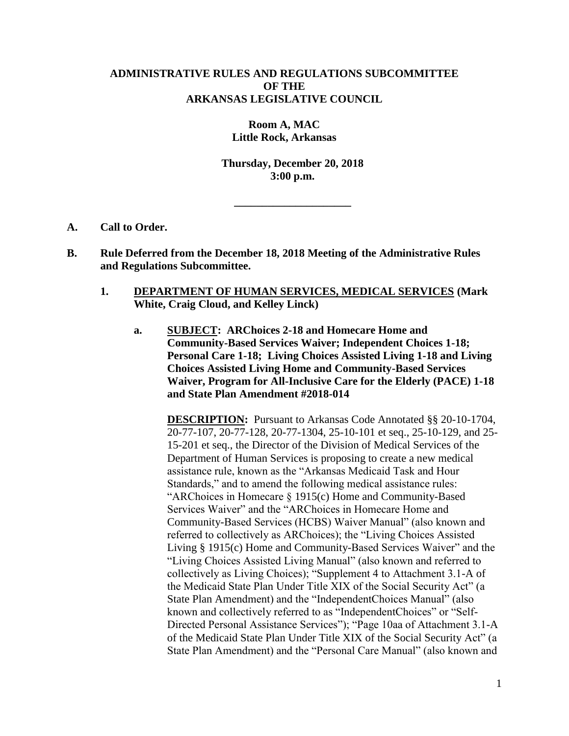## **ADMINISTRATIVE RULES AND REGULATIONS SUBCOMMITTEE OF THE ARKANSAS LEGISLATIVE COUNCIL**

**Room A, MAC Little Rock, Arkansas**

**Thursday, December 20, 2018 3:00 p.m.**

**\_\_\_\_\_\_\_\_\_\_\_\_\_\_\_\_\_\_\_\_\_**

- **A. Call to Order.**
- **B. Rule Deferred from the December 18, 2018 Meeting of the Administrative Rules and Regulations Subcommittee.**
	- **1. DEPARTMENT OF HUMAN SERVICES, MEDICAL SERVICES (Mark White, Craig Cloud, and Kelley Linck)**
		- **a. SUBJECT: ARChoices 2-18 and Homecare Home and Community-Based Services Waiver; Independent Choices 1-18; Personal Care 1-18; Living Choices Assisted Living 1-18 and Living Choices Assisted Living Home and Community-Based Services Waiver, Program for All-Inclusive Care for the Elderly (PACE) 1-18 and State Plan Amendment #2018-014**

**DESCRIPTION:** Pursuant to Arkansas Code Annotated §§ 20-10-1704, 20-77-107, 20-77-128, 20-77-1304, 25-10-101 et seq., 25-10-129, and 25- 15-201 et seq., the Director of the Division of Medical Services of the Department of Human Services is proposing to create a new medical assistance rule, known as the "Arkansas Medicaid Task and Hour Standards," and to amend the following medical assistance rules: "ARChoices in Homecare § 1915(c) Home and Community-Based Services Waiver" and the "ARChoices in Homecare Home and Community-Based Services (HCBS) Waiver Manual" (also known and referred to collectively as ARChoices); the "Living Choices Assisted Living § 1915(c) Home and Community-Based Services Waiver" and the "Living Choices Assisted Living Manual" (also known and referred to collectively as Living Choices); "Supplement 4 to Attachment 3.1-A of the Medicaid State Plan Under Title XIX of the Social Security Act" (a State Plan Amendment) and the "IndependentChoices Manual" (also known and collectively referred to as "IndependentChoices" or "Self-Directed Personal Assistance Services"); "Page 10aa of Attachment 3.1-A of the Medicaid State Plan Under Title XIX of the Social Security Act" (a State Plan Amendment) and the "Personal Care Manual" (also known and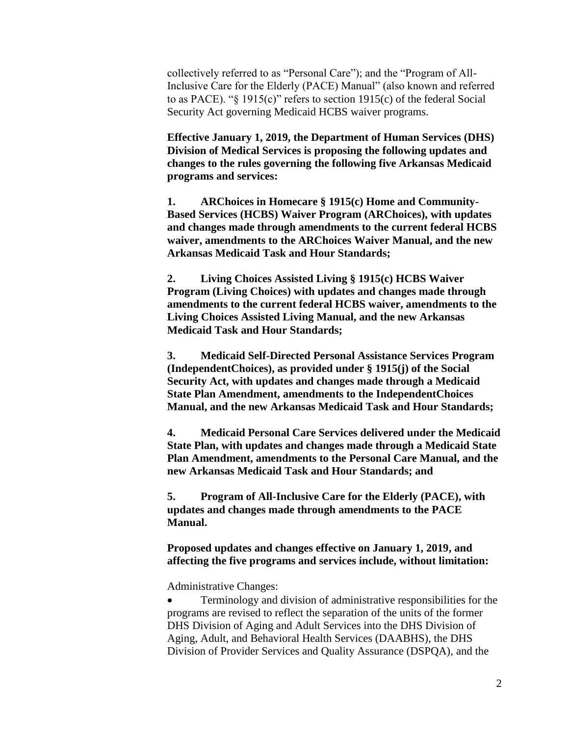collectively referred to as "Personal Care"); and the "Program of All-Inclusive Care for the Elderly (PACE) Manual" (also known and referred to as PACE). "§ 1915(c)" refers to section 1915(c) of the federal Social Security Act governing Medicaid HCBS waiver programs.

**Effective January 1, 2019, the Department of Human Services (DHS) Division of Medical Services is proposing the following updates and changes to the rules governing the following five Arkansas Medicaid programs and services:**

**1. ARChoices in Homecare § 1915(c) Home and Community-Based Services (HCBS) Waiver Program (ARChoices), with updates and changes made through amendments to the current federal HCBS waiver, amendments to the ARChoices Waiver Manual, and the new Arkansas Medicaid Task and Hour Standards;**

**2. Living Choices Assisted Living § 1915(c) HCBS Waiver Program (Living Choices) with updates and changes made through amendments to the current federal HCBS waiver, amendments to the Living Choices Assisted Living Manual, and the new Arkansas Medicaid Task and Hour Standards;**

**3. Medicaid Self-Directed Personal Assistance Services Program (IndependentChoices), as provided under § 1915(j) of the Social Security Act, with updates and changes made through a Medicaid State Plan Amendment, amendments to the IndependentChoices Manual, and the new Arkansas Medicaid Task and Hour Standards;**

**4. Medicaid Personal Care Services delivered under the Medicaid State Plan, with updates and changes made through a Medicaid State Plan Amendment, amendments to the Personal Care Manual, and the new Arkansas Medicaid Task and Hour Standards; and**

**5. Program of All-Inclusive Care for the Elderly (PACE), with updates and changes made through amendments to the PACE Manual.**

**Proposed updates and changes effective on January 1, 2019, and affecting the five programs and services include, without limitation:**

Administrative Changes:

 Terminology and division of administrative responsibilities for the programs are revised to reflect the separation of the units of the former DHS Division of Aging and Adult Services into the DHS Division of Aging, Adult, and Behavioral Health Services (DAABHS), the DHS Division of Provider Services and Quality Assurance (DSPQA), and the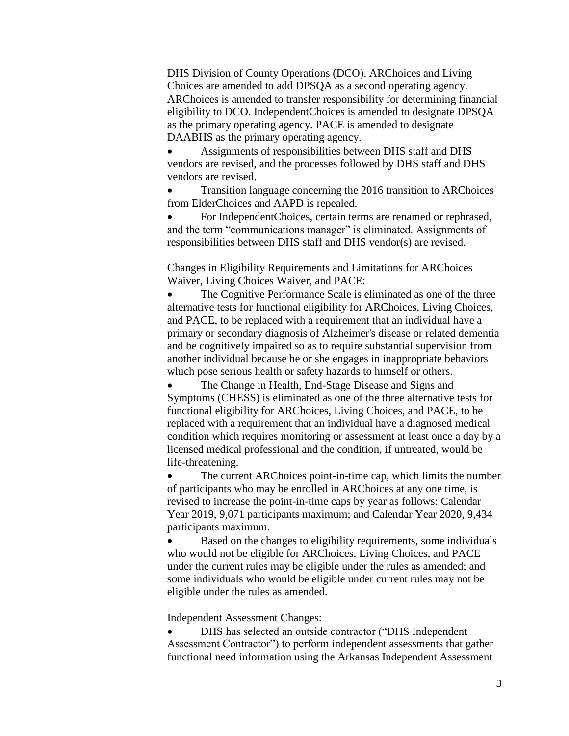DHS Division of County Operations (DCO). ARChoices and Living Choices are amended to add DPSQA as a second operating agency. ARChoices is amended to transfer responsibility for determining financial eligibility to DCO. IndependentChoices is amended to designate DPSQA as the primary operating agency. PACE is amended to designate DAABHS as the primary operating agency.

 Assignments of responsibilities between DHS staff and DHS vendors are revised, and the processes followed by DHS staff and DHS vendors are revised.

 Transition language concerning the 2016 transition to ARChoices from ElderChoices and AAPD is repealed.

 For IndependentChoices, certain terms are renamed or rephrased, and the term "communications manager" is eliminated. Assignments of responsibilities between DHS staff and DHS vendor(s) are revised.

Changes in Eligibility Requirements and Limitations for ARChoices Waiver, Living Choices Waiver, and PACE:

 The Cognitive Performance Scale is eliminated as one of the three alternative tests for functional eligibility for ARChoices, Living Choices, and PACE, to be replaced with a requirement that an individual have a primary or secondary diagnosis of Alzheimer's disease or related dementia and be cognitively impaired so as to require substantial supervision from another individual because he or she engages in inappropriate behaviors which pose serious health or safety hazards to himself or others.

 The Change in Health, End-Stage Disease and Signs and Symptoms (CHESS) is eliminated as one of the three alternative tests for functional eligibility for ARChoices, Living Choices, and PACE, to be replaced with a requirement that an individual have a diagnosed medical condition which requires monitoring or assessment at least once a day by a licensed medical professional and the condition, if untreated, would be life-threatening.

 The current ARChoices point-in-time cap, which limits the number of participants who may be enrolled in ARChoices at any one time, is revised to increase the point-in-time caps by year as follows: Calendar Year 2019, 9,071 participants maximum; and Calendar Year 2020, 9,434 participants maximum.

 Based on the changes to eligibility requirements, some individuals who would not be eligible for ARChoices, Living Choices, and PACE under the current rules may be eligible under the rules as amended; and some individuals who would be eligible under current rules may not be eligible under the rules as amended.

Independent Assessment Changes:

 DHS has selected an outside contractor ("DHS Independent Assessment Contractor") to perform independent assessments that gather functional need information using the Arkansas Independent Assessment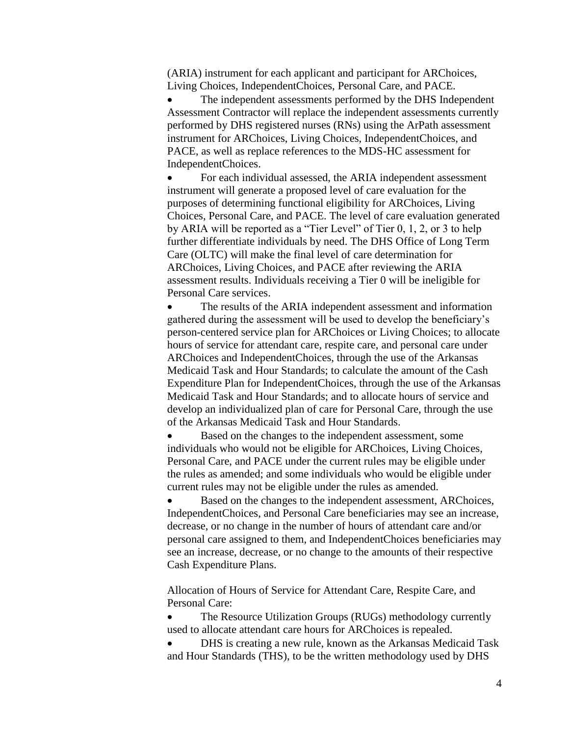(ARIA) instrument for each applicant and participant for ARChoices, Living Choices, IndependentChoices, Personal Care, and PACE.

 The independent assessments performed by the DHS Independent Assessment Contractor will replace the independent assessments currently performed by DHS registered nurses (RNs) using the ArPath assessment instrument for ARChoices, Living Choices, IndependentChoices, and PACE, as well as replace references to the MDS-HC assessment for IndependentChoices.

 For each individual assessed, the ARIA independent assessment instrument will generate a proposed level of care evaluation for the purposes of determining functional eligibility for ARChoices, Living Choices, Personal Care, and PACE. The level of care evaluation generated by ARIA will be reported as a "Tier Level" of Tier 0, 1, 2, or 3 to help further differentiate individuals by need. The DHS Office of Long Term Care (OLTC) will make the final level of care determination for ARChoices, Living Choices, and PACE after reviewing the ARIA assessment results. Individuals receiving a Tier 0 will be ineligible for Personal Care services.

 The results of the ARIA independent assessment and information gathered during the assessment will be used to develop the beneficiary's person-centered service plan for ARChoices or Living Choices; to allocate hours of service for attendant care, respite care, and personal care under ARChoices and IndependentChoices, through the use of the Arkansas Medicaid Task and Hour Standards; to calculate the amount of the Cash Expenditure Plan for IndependentChoices, through the use of the Arkansas Medicaid Task and Hour Standards; and to allocate hours of service and develop an individualized plan of care for Personal Care, through the use of the Arkansas Medicaid Task and Hour Standards.

 Based on the changes to the independent assessment, some individuals who would not be eligible for ARChoices, Living Choices, Personal Care, and PACE under the current rules may be eligible under the rules as amended; and some individuals who would be eligible under current rules may not be eligible under the rules as amended.

 Based on the changes to the independent assessment, ARChoices, IndependentChoices, and Personal Care beneficiaries may see an increase, decrease, or no change in the number of hours of attendant care and/or personal care assigned to them, and IndependentChoices beneficiaries may see an increase, decrease, or no change to the amounts of their respective Cash Expenditure Plans.

Allocation of Hours of Service for Attendant Care, Respite Care, and Personal Care:

 The Resource Utilization Groups (RUGs) methodology currently used to allocate attendant care hours for ARChoices is repealed.

 DHS is creating a new rule, known as the Arkansas Medicaid Task and Hour Standards (THS), to be the written methodology used by DHS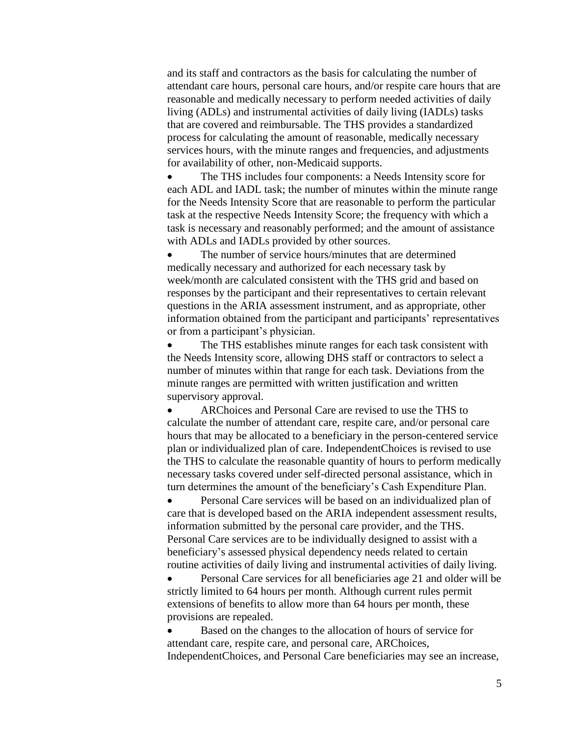and its staff and contractors as the basis for calculating the number of attendant care hours, personal care hours, and/or respite care hours that are reasonable and medically necessary to perform needed activities of daily living (ADLs) and instrumental activities of daily living (IADLs) tasks that are covered and reimbursable. The THS provides a standardized process for calculating the amount of reasonable, medically necessary services hours, with the minute ranges and frequencies, and adjustments for availability of other, non-Medicaid supports.

 The THS includes four components: a Needs Intensity score for each ADL and IADL task; the number of minutes within the minute range for the Needs Intensity Score that are reasonable to perform the particular task at the respective Needs Intensity Score; the frequency with which a task is necessary and reasonably performed; and the amount of assistance with ADLs and IADLs provided by other sources.

 The number of service hours/minutes that are determined medically necessary and authorized for each necessary task by week/month are calculated consistent with the THS grid and based on responses by the participant and their representatives to certain relevant questions in the ARIA assessment instrument, and as appropriate, other information obtained from the participant and participants' representatives or from a participant's physician.

 The THS establishes minute ranges for each task consistent with the Needs Intensity score, allowing DHS staff or contractors to select a number of minutes within that range for each task. Deviations from the minute ranges are permitted with written justification and written supervisory approval.

 ARChoices and Personal Care are revised to use the THS to calculate the number of attendant care, respite care, and/or personal care hours that may be allocated to a beneficiary in the person-centered service plan or individualized plan of care. IndependentChoices is revised to use the THS to calculate the reasonable quantity of hours to perform medically necessary tasks covered under self-directed personal assistance, which in turn determines the amount of the beneficiary's Cash Expenditure Plan.

 Personal Care services will be based on an individualized plan of care that is developed based on the ARIA independent assessment results, information submitted by the personal care provider, and the THS. Personal Care services are to be individually designed to assist with a beneficiary's assessed physical dependency needs related to certain routine activities of daily living and instrumental activities of daily living.

 Personal Care services for all beneficiaries age 21 and older will be strictly limited to 64 hours per month. Although current rules permit extensions of benefits to allow more than 64 hours per month, these provisions are repealed.

 Based on the changes to the allocation of hours of service for attendant care, respite care, and personal care, ARChoices, IndependentChoices, and Personal Care beneficiaries may see an increase,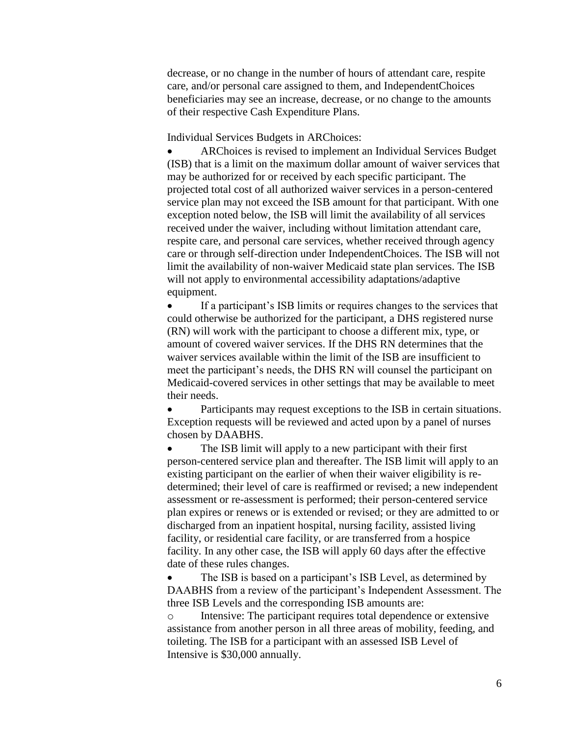decrease, or no change in the number of hours of attendant care, respite care, and/or personal care assigned to them, and IndependentChoices beneficiaries may see an increase, decrease, or no change to the amounts of their respective Cash Expenditure Plans.

Individual Services Budgets in ARChoices:

 ARChoices is revised to implement an Individual Services Budget (ISB) that is a limit on the maximum dollar amount of waiver services that may be authorized for or received by each specific participant. The projected total cost of all authorized waiver services in a person-centered service plan may not exceed the ISB amount for that participant. With one exception noted below, the ISB will limit the availability of all services received under the waiver, including without limitation attendant care, respite care, and personal care services, whether received through agency care or through self-direction under IndependentChoices. The ISB will not limit the availability of non-waiver Medicaid state plan services. The ISB will not apply to environmental accessibility adaptations/adaptive equipment.

 If a participant's ISB limits or requires changes to the services that could otherwise be authorized for the participant, a DHS registered nurse (RN) will work with the participant to choose a different mix, type, or amount of covered waiver services. If the DHS RN determines that the waiver services available within the limit of the ISB are insufficient to meet the participant's needs, the DHS RN will counsel the participant on Medicaid-covered services in other settings that may be available to meet their needs.

 Participants may request exceptions to the ISB in certain situations. Exception requests will be reviewed and acted upon by a panel of nurses chosen by DAABHS.

 The ISB limit will apply to a new participant with their first person-centered service plan and thereafter. The ISB limit will apply to an existing participant on the earlier of when their waiver eligibility is redetermined; their level of care is reaffirmed or revised; a new independent assessment or re-assessment is performed; their person-centered service plan expires or renews or is extended or revised; or they are admitted to or discharged from an inpatient hospital, nursing facility, assisted living facility, or residential care facility, or are transferred from a hospice facility. In any other case, the ISB will apply 60 days after the effective date of these rules changes.

 The ISB is based on a participant's ISB Level, as determined by DAABHS from a review of the participant's Independent Assessment. The three ISB Levels and the corresponding ISB amounts are:

o Intensive: The participant requires total dependence or extensive assistance from another person in all three areas of mobility, feeding, and toileting. The ISB for a participant with an assessed ISB Level of Intensive is \$30,000 annually.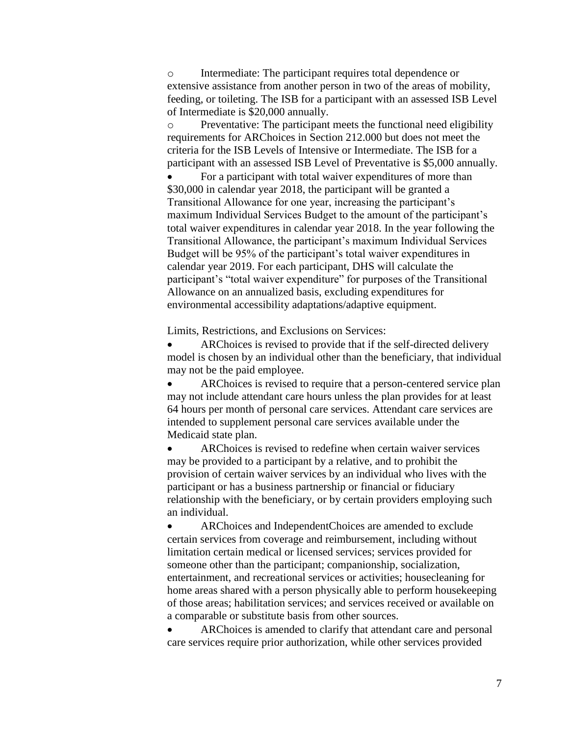o Intermediate: The participant requires total dependence or extensive assistance from another person in two of the areas of mobility, feeding, or toileting. The ISB for a participant with an assessed ISB Level of Intermediate is \$20,000 annually.

o Preventative: The participant meets the functional need eligibility requirements for ARChoices in Section 212.000 but does not meet the criteria for the ISB Levels of Intensive or Intermediate. The ISB for a participant with an assessed ISB Level of Preventative is \$5,000 annually.

 For a participant with total waiver expenditures of more than \$30,000 in calendar year 2018, the participant will be granted a Transitional Allowance for one year, increasing the participant's maximum Individual Services Budget to the amount of the participant's total waiver expenditures in calendar year 2018. In the year following the Transitional Allowance, the participant's maximum Individual Services Budget will be 95% of the participant's total waiver expenditures in calendar year 2019. For each participant, DHS will calculate the participant's "total waiver expenditure" for purposes of the Transitional Allowance on an annualized basis, excluding expenditures for environmental accessibility adaptations/adaptive equipment.

Limits, Restrictions, and Exclusions on Services:

 ARChoices is revised to provide that if the self-directed delivery model is chosen by an individual other than the beneficiary, that individual may not be the paid employee.

 ARChoices is revised to require that a person-centered service plan may not include attendant care hours unless the plan provides for at least 64 hours per month of personal care services. Attendant care services are intended to supplement personal care services available under the Medicaid state plan.

 ARChoices is revised to redefine when certain waiver services may be provided to a participant by a relative, and to prohibit the provision of certain waiver services by an individual who lives with the participant or has a business partnership or financial or fiduciary relationship with the beneficiary, or by certain providers employing such an individual.

 ARChoices and IndependentChoices are amended to exclude certain services from coverage and reimbursement, including without limitation certain medical or licensed services; services provided for someone other than the participant; companionship, socialization, entertainment, and recreational services or activities; housecleaning for home areas shared with a person physically able to perform housekeeping of those areas; habilitation services; and services received or available on a comparable or substitute basis from other sources.

 ARChoices is amended to clarify that attendant care and personal care services require prior authorization, while other services provided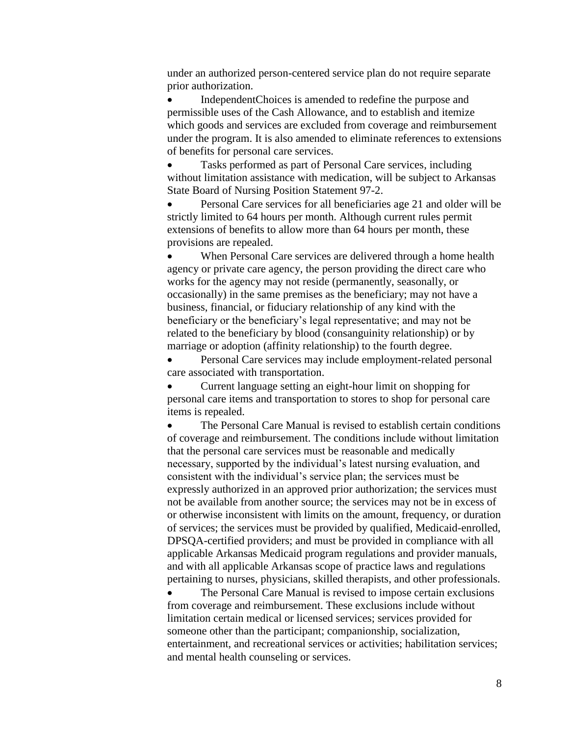under an authorized person-centered service plan do not require separate prior authorization.

 IndependentChoices is amended to redefine the purpose and permissible uses of the Cash Allowance, and to establish and itemize which goods and services are excluded from coverage and reimbursement under the program. It is also amended to eliminate references to extensions of benefits for personal care services.

 Tasks performed as part of Personal Care services, including without limitation assistance with medication, will be subject to Arkansas State Board of Nursing Position Statement 97-2.

 Personal Care services for all beneficiaries age 21 and older will be strictly limited to 64 hours per month. Although current rules permit extensions of benefits to allow more than 64 hours per month, these provisions are repealed.

 When Personal Care services are delivered through a home health agency or private care agency, the person providing the direct care who works for the agency may not reside (permanently, seasonally, or occasionally) in the same premises as the beneficiary; may not have a business, financial, or fiduciary relationship of any kind with the beneficiary or the beneficiary's legal representative; and may not be related to the beneficiary by blood (consanguinity relationship) or by marriage or adoption (affinity relationship) to the fourth degree.

 Personal Care services may include employment-related personal care associated with transportation.

 Current language setting an eight-hour limit on shopping for personal care items and transportation to stores to shop for personal care items is repealed.

 The Personal Care Manual is revised to establish certain conditions of coverage and reimbursement. The conditions include without limitation that the personal care services must be reasonable and medically necessary, supported by the individual's latest nursing evaluation, and consistent with the individual's service plan; the services must be expressly authorized in an approved prior authorization; the services must not be available from another source; the services may not be in excess of or otherwise inconsistent with limits on the amount, frequency, or duration of services; the services must be provided by qualified, Medicaid-enrolled, DPSQA-certified providers; and must be provided in compliance with all applicable Arkansas Medicaid program regulations and provider manuals, and with all applicable Arkansas scope of practice laws and regulations pertaining to nurses, physicians, skilled therapists, and other professionals.

 The Personal Care Manual is revised to impose certain exclusions from coverage and reimbursement. These exclusions include without limitation certain medical or licensed services; services provided for someone other than the participant; companionship, socialization, entertainment, and recreational services or activities; habilitation services; and mental health counseling or services.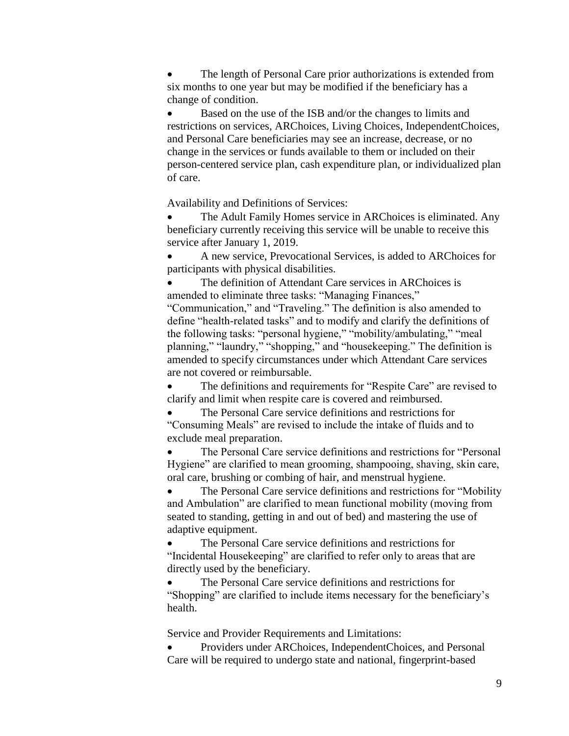The length of Personal Care prior authorizations is extended from six months to one year but may be modified if the beneficiary has a change of condition.

 Based on the use of the ISB and/or the changes to limits and restrictions on services, ARChoices, Living Choices, IndependentChoices, and Personal Care beneficiaries may see an increase, decrease, or no change in the services or funds available to them or included on their person-centered service plan, cash expenditure plan, or individualized plan of care.

Availability and Definitions of Services:

 The Adult Family Homes service in ARChoices is eliminated. Any beneficiary currently receiving this service will be unable to receive this service after January 1, 2019.

 A new service, Prevocational Services, is added to ARChoices for participants with physical disabilities.

 The definition of Attendant Care services in ARChoices is amended to eliminate three tasks: "Managing Finances,"

"Communication," and "Traveling." The definition is also amended to define "health-related tasks" and to modify and clarify the definitions of the following tasks: "personal hygiene," "mobility/ambulating," "meal planning," "laundry," "shopping," and "housekeeping." The definition is amended to specify circumstances under which Attendant Care services are not covered or reimbursable.

The definitions and requirements for "Respite Care" are revised to clarify and limit when respite care is covered and reimbursed.

 The Personal Care service definitions and restrictions for "Consuming Meals" are revised to include the intake of fluids and to exclude meal preparation.

 The Personal Care service definitions and restrictions for "Personal Hygiene" are clarified to mean grooming, shampooing, shaving, skin care, oral care, brushing or combing of hair, and menstrual hygiene.

 The Personal Care service definitions and restrictions for "Mobility and Ambulation" are clarified to mean functional mobility (moving from seated to standing, getting in and out of bed) and mastering the use of adaptive equipment.

 The Personal Care service definitions and restrictions for "Incidental Housekeeping" are clarified to refer only to areas that are directly used by the beneficiary.

 The Personal Care service definitions and restrictions for "Shopping" are clarified to include items necessary for the beneficiary's health.

Service and Provider Requirements and Limitations:

 Providers under ARChoices, IndependentChoices, and Personal Care will be required to undergo state and national, fingerprint-based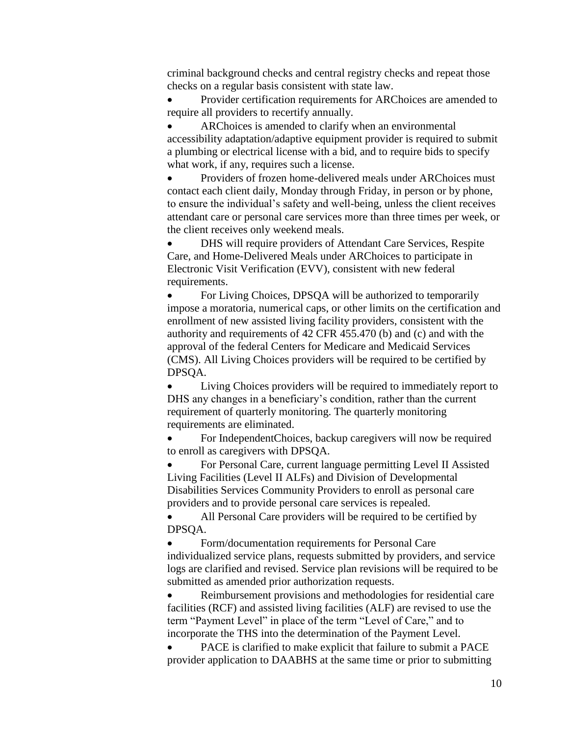criminal background checks and central registry checks and repeat those checks on a regular basis consistent with state law.

 Provider certification requirements for ARChoices are amended to require all providers to recertify annually.

 ARChoices is amended to clarify when an environmental accessibility adaptation/adaptive equipment provider is required to submit a plumbing or electrical license with a bid, and to require bids to specify what work, if any, requires such a license.

 Providers of frozen home-delivered meals under ARChoices must contact each client daily, Monday through Friday, in person or by phone, to ensure the individual's safety and well-being, unless the client receives attendant care or personal care services more than three times per week, or the client receives only weekend meals.

 DHS will require providers of Attendant Care Services, Respite Care, and Home-Delivered Meals under ARChoices to participate in Electronic Visit Verification (EVV), consistent with new federal requirements.

 For Living Choices, DPSQA will be authorized to temporarily impose a moratoria, numerical caps, or other limits on the certification and enrollment of new assisted living facility providers, consistent with the authority and requirements of 42 CFR 455.470 (b) and (c) and with the approval of the federal Centers for Medicare and Medicaid Services (CMS). All Living Choices providers will be required to be certified by DPSQA.

 Living Choices providers will be required to immediately report to DHS any changes in a beneficiary's condition, rather than the current requirement of quarterly monitoring. The quarterly monitoring requirements are eliminated.

 For IndependentChoices, backup caregivers will now be required to enroll as caregivers with DPSQA.

 For Personal Care, current language permitting Level II Assisted Living Facilities (Level II ALFs) and Division of Developmental Disabilities Services Community Providers to enroll as personal care providers and to provide personal care services is repealed.

 All Personal Care providers will be required to be certified by DPSQA.

 Form/documentation requirements for Personal Care individualized service plans, requests submitted by providers, and service logs are clarified and revised. Service plan revisions will be required to be submitted as amended prior authorization requests.

 Reimbursement provisions and methodologies for residential care facilities (RCF) and assisted living facilities (ALF) are revised to use the term "Payment Level" in place of the term "Level of Care," and to incorporate the THS into the determination of the Payment Level.

 PACE is clarified to make explicit that failure to submit a PACE provider application to DAABHS at the same time or prior to submitting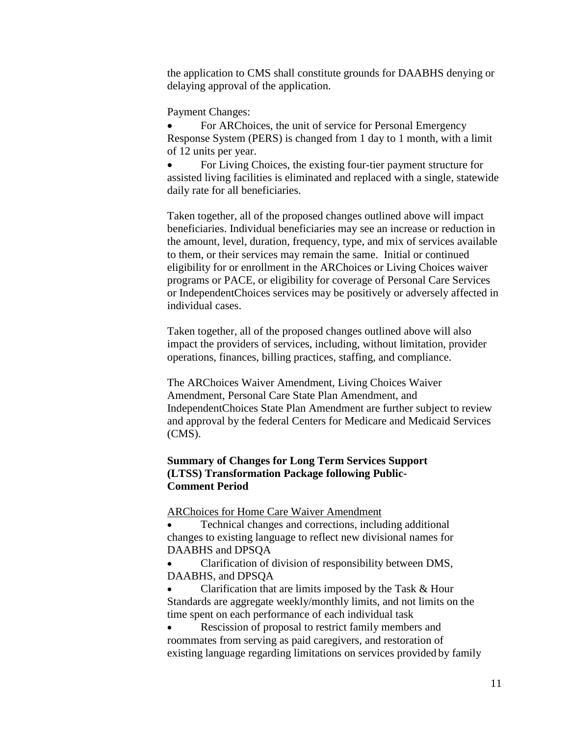the application to CMS shall constitute grounds for DAABHS denying or delaying approval of the application.

Payment Changes:

 For ARChoices, the unit of service for Personal Emergency Response System (PERS) is changed from 1 day to 1 month, with a limit of 12 units per year.

• For Living Choices, the existing four-tier payment structure for assisted living facilities is eliminated and replaced with a single, statewide daily rate for all beneficiaries.

Taken together, all of the proposed changes outlined above will impact beneficiaries. Individual beneficiaries may see an increase or reduction in the amount, level, duration, frequency, type, and mix of services available to them, or their services may remain the same. Initial or continued eligibility for or enrollment in the ARChoices or Living Choices waiver programs or PACE, or eligibility for coverage of Personal Care Services or IndependentChoices services may be positively or adversely affected in individual cases.

Taken together, all of the proposed changes outlined above will also impact the providers of services, including, without limitation, provider operations, finances, billing practices, staffing, and compliance.

The ARChoices Waiver Amendment, Living Choices Waiver Amendment, Personal Care State Plan Amendment, and IndependentChoices State Plan Amendment are further subject to review and approval by the federal Centers for Medicare and Medicaid Services (CMS).

# **Summary of Changes for Long Term Services Support (LTSS) Transformation Package following Public-Comment Period**

ARChoices for Home Care Waiver Amendment

 Technical changes and corrections, including additional changes to existing language to reflect new divisional names for DAABHS and DPSQA

 Clarification of division of responsibility between DMS, DAABHS, and DPSQA

 Clarification that are limits imposed by the Task & Hour Standards are aggregate weekly/monthly limits, and not limits on the time spent on each performance of each individual task

 Rescission of proposal to restrict family members and roommates from serving as paid caregivers, and restoration of existing language regarding limitations on services provided by family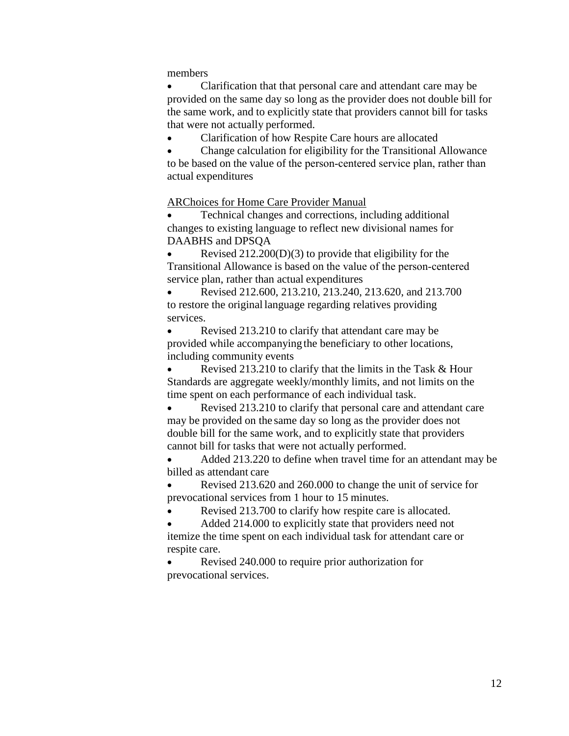members

 Clarification that that personal care and attendant care may be provided on the same day so long as the provider does not double bill for the same work, and to explicitly state that providers cannot bill for tasks that were not actually performed.

Clarification of how Respite Care hours are allocated

 Change calculation for eligibility for the Transitional Allowance to be based on the value of the person‐centered service plan, rather than actual expenditures

ARChoices for Home Care Provider Manual

 Technical changes and corrections, including additional changes to existing language to reflect new divisional names for DAABHS and DPSQA

 Revised 212.200(D)(3) to provide that eligibility for the Transitional Allowance is based on the value of the person‐centered service plan, rather than actual expenditures

 Revised 212.600, 213.210, 213.240, 213.620, and 213.700 to restore the original language regarding relatives providing services.

 Revised 213.210 to clarify that attendant care may be provided while accompanying the beneficiary to other locations, including community events

 Revised 213.210 to clarify that the limits in the Task & Hour Standards are aggregate weekly/monthly limits, and not limits on the time spent on each performance of each individual task.

 Revised 213.210 to clarify that personal care and attendant care may be provided on the same day so long as the provider does not double bill for the same work, and to explicitly state that providers cannot bill for tasks that were not actually performed.

 Added 213.220 to define when travel time for an attendant may be billed as attendant care

 Revised 213.620 and 260.000 to change the unit of service for prevocational services from 1 hour to 15 minutes.

Revised 213.700 to clarify how respite care is allocated.

 Added 214.000 to explicitly state that providers need not itemize the time spent on each individual task for attendant care or respite care.

 Revised 240.000 to require prior authorization for prevocational services.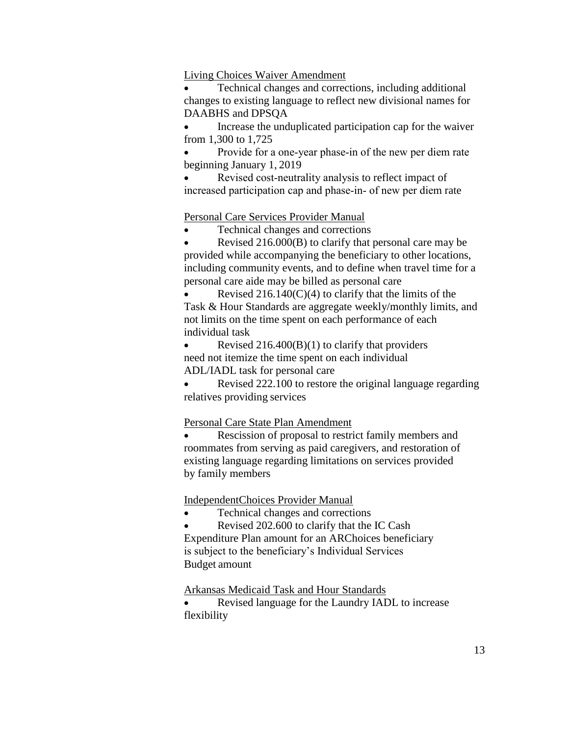#### Living Choices Waiver Amendment

 Technical changes and corrections, including additional changes to existing language to reflect new divisional names for DAABHS and DPSQA

 Increase the unduplicated participation cap for the waiver from 1,300 to 1,725

 Provide for a one‐year phase‐in of the new per diem rate beginning January 1, 2019

 Revised cost‐neutrality analysis to reflect impact of increased participation cap and phase‐in‐ of new per diem rate

## Personal Care Services Provider Manual

Technical changes and corrections

 Revised 216.000(B) to clarify that personal care may be provided while accompanying the beneficiary to other locations, including community events, and to define when travel time for a personal care aide may be billed as personal care

Revised  $216.140(C)(4)$  to clarify that the limits of the Task & Hour Standards are aggregate weekly/monthly limits, and not limits on the time spent on each performance of each individual task

Revised  $216.400(B)(1)$  to clarify that providers need not itemize the time spent on each individual ADL/IADL task for personal care

• Revised 222.100 to restore the original language regarding relatives providing services

### Personal Care State Plan Amendment

 Rescission of proposal to restrict family members and roommates from serving as paid caregivers, and restoration of existing language regarding limitations on services provided by family members

IndependentChoices Provider Manual

Technical changes and corrections

Revised 202.600 to clarify that the IC Cash

Expenditure Plan amount for an ARChoices beneficiary is subject to the beneficiary's Individual Services Budget amount

Arkansas Medicaid Task and Hour Standards

 Revised language for the Laundry IADL to increase flexibility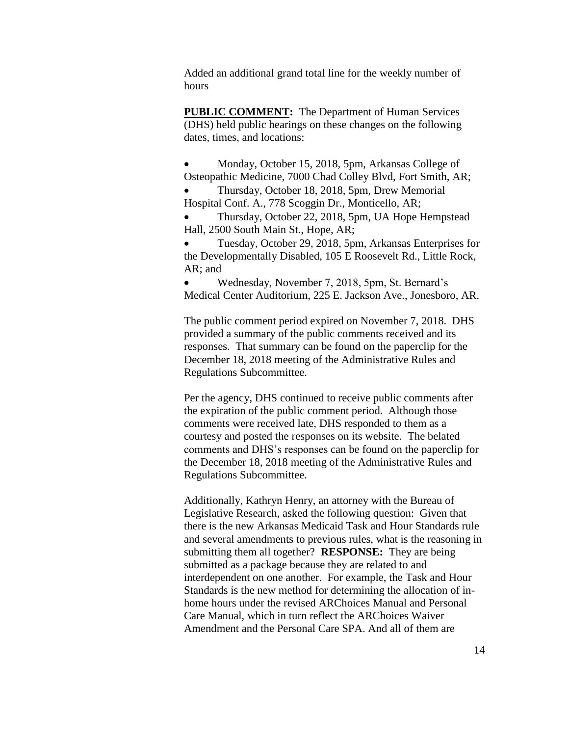Added an additional grand total line for the weekly number of hours

**PUBLIC COMMENT:** The Department of Human Services (DHS) held public hearings on these changes on the following dates, times, and locations:

 Monday, October 15, 2018, 5pm, Arkansas College of Osteopathic Medicine, 7000 Chad Colley Blvd, Fort Smith, AR;

 Thursday, October 18, 2018, 5pm, Drew Memorial Hospital Conf. A., 778 Scoggin Dr., Monticello, AR;

 Thursday, October 22, 2018, 5pm, UA Hope Hempstead Hall, 2500 South Main St., Hope, AR;

 Tuesday, October 29, 2018, 5pm, Arkansas Enterprises for the Developmentally Disabled, 105 E Roosevelt Rd., Little Rock, AR; and

 Wednesday, November 7, 2018, 5pm, St. Bernard's Medical Center Auditorium, 225 E. Jackson Ave., Jonesboro, AR.

The public comment period expired on November 7, 2018. DHS provided a summary of the public comments received and its responses. That summary can be found on the paperclip for the December 18, 2018 meeting of the Administrative Rules and Regulations Subcommittee.

Per the agency, DHS continued to receive public comments after the expiration of the public comment period. Although those comments were received late, DHS responded to them as a courtesy and posted the responses on its website. The belated comments and DHS's responses can be found on the paperclip for the December 18, 2018 meeting of the Administrative Rules and Regulations Subcommittee.

Additionally, Kathryn Henry, an attorney with the Bureau of Legislative Research, asked the following question: Given that there is the new Arkansas Medicaid Task and Hour Standards rule and several amendments to previous rules, what is the reasoning in submitting them all together? **RESPONSE:** They are being submitted as a package because they are related to and interdependent on one another. For example, the Task and Hour Standards is the new method for determining the allocation of inhome hours under the revised ARChoices Manual and Personal Care Manual, which in turn reflect the ARChoices Waiver Amendment and the Personal Care SPA. And all of them are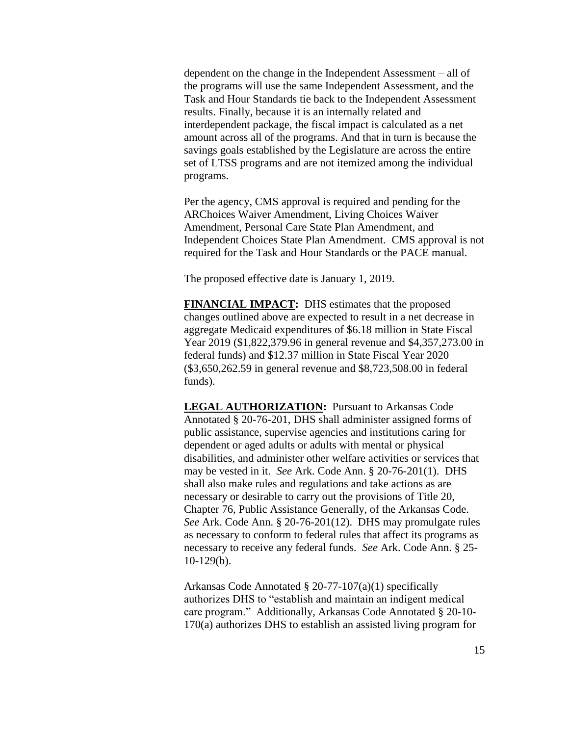dependent on the change in the Independent Assessment – all of the programs will use the same Independent Assessment, and the Task and Hour Standards tie back to the Independent Assessment results. Finally, because it is an internally related and interdependent package, the fiscal impact is calculated as a net amount across all of the programs. And that in turn is because the savings goals established by the Legislature are across the entire set of LTSS programs and are not itemized among the individual programs.

Per the agency, CMS approval is required and pending for the ARChoices Waiver Amendment, Living Choices Waiver Amendment, Personal Care State Plan Amendment, and Independent Choices State Plan Amendment. CMS approval is not required for the Task and Hour Standards or the PACE manual.

The proposed effective date is January 1, 2019.

**FINANCIAL IMPACT:** DHS estimates that the proposed changes outlined above are expected to result in a net decrease in aggregate Medicaid expenditures of \$6.18 million in State Fiscal Year 2019 (\$1,822,379.96 in general revenue and \$4,357,273.00 in federal funds) and \$12.37 million in State Fiscal Year 2020 (\$3,650,262.59 in general revenue and \$8,723,508.00 in federal funds).

**LEGAL AUTHORIZATION:** Pursuant to Arkansas Code Annotated § 20-76-201, DHS shall administer assigned forms of public assistance, supervise agencies and institutions caring for dependent or aged adults or adults with mental or physical disabilities, and administer other welfare activities or services that may be vested in it. *See* Ark. Code Ann. § 20-76-201(1). DHS shall also make rules and regulations and take actions as are necessary or desirable to carry out the provisions of Title 20, Chapter 76, Public Assistance Generally, of the Arkansas Code. *See* Ark. Code Ann. § 20-76-201(12). DHS may promulgate rules as necessary to conform to federal rules that affect its programs as necessary to receive any federal funds. *See* Ark. Code Ann. § 25- 10-129(b).

Arkansas Code Annotated § 20-77-107(a)(1) specifically authorizes DHS to "establish and maintain an indigent medical care program." Additionally, Arkansas Code Annotated § 20-10- 170(a) authorizes DHS to establish an assisted living program for